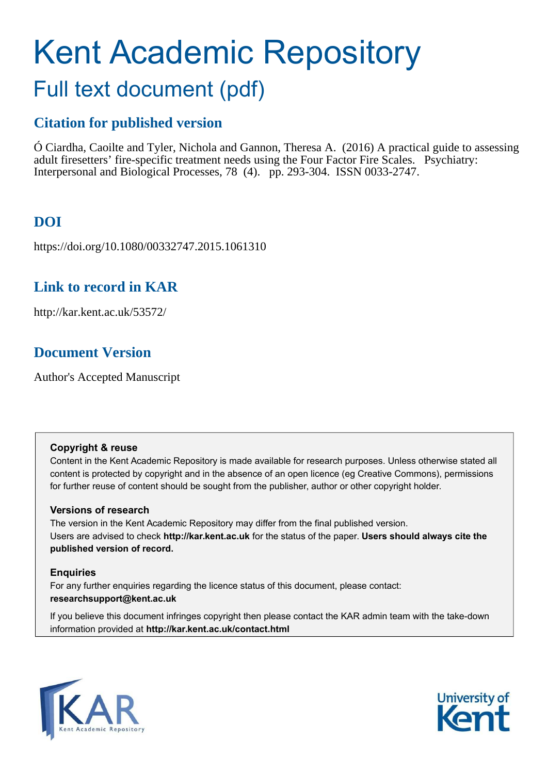# Kent Academic Repository

## Full text document (pdf)

## **Citation for published version**

Ó Ciardha, Caoilte and Tyler, Nichola and Gannon, Theresa A. (2016) A practical guide to assessing adult firesetters' fire-specific treatment needs using the Four Factor Fire Scales. Psychiatry: Interpersonal and Biological Processes, 78 (4). pp. 293-304. ISSN 0033-2747.

## **DOI**

https://doi.org/10.1080/00332747.2015.1061310

## **Link to record in KAR**

http://kar.kent.ac.uk/53572/

## **Document Version**

Author's Accepted Manuscript

#### **Copyright & reuse**

Content in the Kent Academic Repository is made available for research purposes. Unless otherwise stated all content is protected by copyright and in the absence of an open licence (eg Creative Commons), permissions for further reuse of content should be sought from the publisher, author or other copyright holder.

#### **Versions of research**

The version in the Kent Academic Repository may differ from the final published version. Users are advised to check **http://kar.kent.ac.uk** for the status of the paper. **Users should always cite the published version of record.**

#### **Enquiries**

For any further enquiries regarding the licence status of this document, please contact: **researchsupport@kent.ac.uk**

If you believe this document infringes copyright then please contact the KAR admin team with the take-down information provided at **http://kar.kent.ac.uk/contact.html**



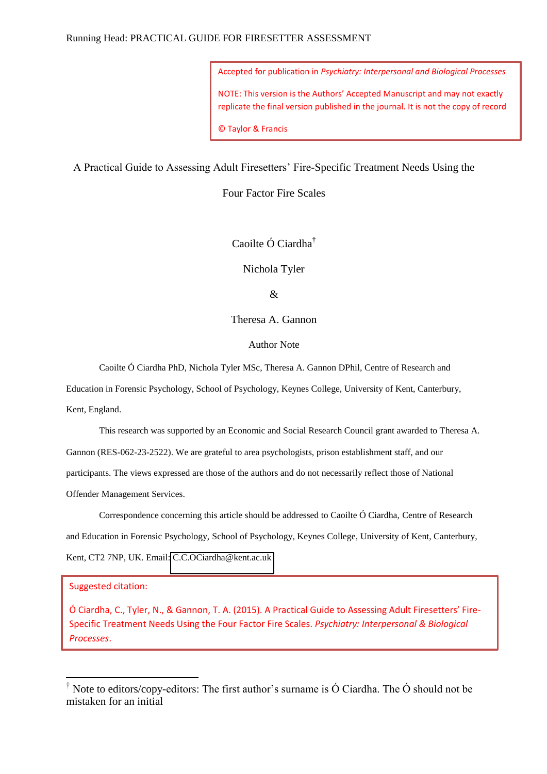Accepted for publication in *Psychiatry: Interpersonal and Biological Processes* NOTE: This version is the Authors' Accepted Manuscript and may not exactly replicate the final version published in the journal. It is not the copy of record © Taylor & Francis

A Practical Guide to Assessing Adult Firesetters' Fire-Specific Treatment Needs Using the

Four Factor Fire Scales

Caoilte Ó Ciardha†

Nichola Tyler

&

Theresa A. Gannon

Author Note

Caoilte Ó Ciardha PhD, Nichola Tyler MSc, Theresa A. Gannon DPhil, Centre of Research and

Education in Forensic Psychology, School of Psychology, Keynes College, University of Kent, Canterbury,

Kent, England.

This research was supported by an Economic and Social Research Council grant awarded to Theresa A. Gannon (RES-062-23-2522). We are grateful to area psychologists, prison establishment staff, and our participants. The views expressed are those of the authors and do not necessarily reflect those of National

Offender Management Services.

Correspondence concerning this article should be addressed to Caoilte Ó Ciardha, Centre of Research and Education in Forensic Psychology, School of Psychology, Keynes College, University of Kent, Canterbury, Kent, CT2 7NP, UK. Email: [C.C.OCiardha@kent.ac.uk](mailto:C.C.OCiardha@kent.ac.uk) 

#### Suggested citation:

-

Ó Ciardha, C., Tyler, N., & Gannon, T. A. (2015). A Practical Guide to Assessing Adult Firesetters' Fire-Specific Treatment Needs Using the Four Factor Fire Scales. *Psychiatry: Interpersonal & Biological Processes*.

<sup>†</sup> Note to editors/copy-editors: The first author's surname is Ó Ciardha. The Ó should not be mistaken for an initial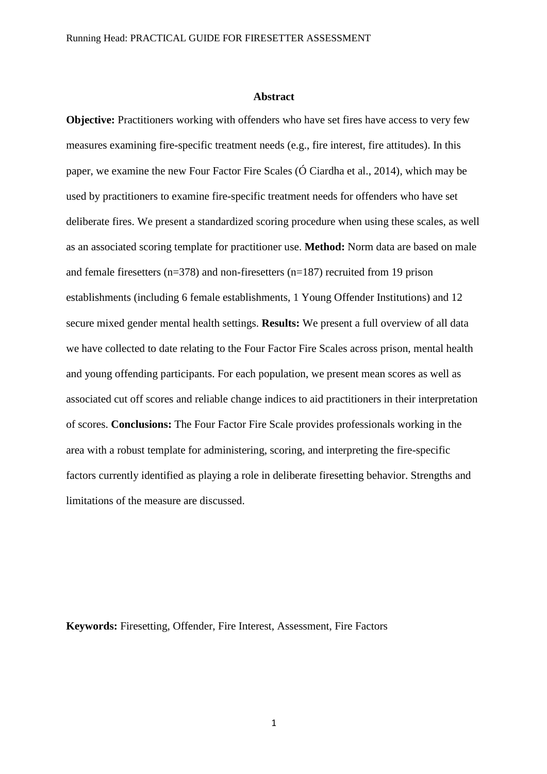#### **Abstract**

**Objective:** Practitioners working with offenders who have set fires have access to very few measures examining fire-specific treatment needs (e.g., fire interest, fire attitudes). In this paper, we examine the new Four Factor Fire Scales (Ó Ciardha et al., 2014), which may be used by practitioners to examine fire-specific treatment needs for offenders who have set deliberate fires. We present a standardized scoring procedure when using these scales, as well as an associated scoring template for practitioner use. **Method:** Norm data are based on male and female firesetters (n=378) and non-firesetters (n=187) recruited from 19 prison establishments (including 6 female establishments, 1 Young Offender Institutions) and 12 secure mixed gender mental health settings. **Results:** We present a full overview of all data we have collected to date relating to the Four Factor Fire Scales across prison, mental health and young offending participants. For each population, we present mean scores as well as associated cut off scores and reliable change indices to aid practitioners in their interpretation of scores. **Conclusions:** The Four Factor Fire Scale provides professionals working in the area with a robust template for administering, scoring, and interpreting the fire-specific factors currently identified as playing a role in deliberate firesetting behavior. Strengths and limitations of the measure are discussed.

**Keywords:** Firesetting, Offender, Fire Interest, Assessment, Fire Factors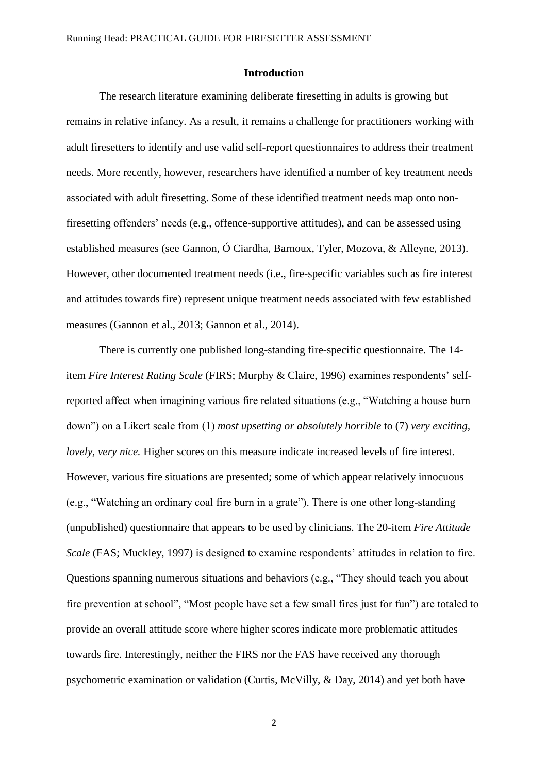#### **Introduction**

The research literature examining deliberate firesetting in adults is growing but remains in relative infancy. As a result, it remains a challenge for practitioners working with adult firesetters to identify and use valid self-report questionnaires to address their treatment needs. More recently, however, researchers have identified a number of key treatment needs associated with adult firesetting. Some of these identified treatment needs map onto nonfiresetting offenders' needs (e.g., offence-supportive attitudes), and can be assessed using established measures (see Gannon, Ó Ciardha, Barnoux, Tyler, Mozova, & Alleyne, 2013). However, other documented treatment needs (i.e., fire-specific variables such as fire interest and attitudes towards fire) represent unique treatment needs associated with few established measures (Gannon et al., 2013; Gannon et al., 2014).

There is currently one published long-standing fire-specific questionnaire. The 14 item *Fire Interest Rating Scale* (FIRS; Murphy & Claire, 1996) examines respondents' selfreported affect when imagining various fire related situations (e.g., "Watching a house burn down") on a Likert scale from (1) *most upsetting or absolutely horrible* to (7) *very exciting, lovely, very nice.* Higher scores on this measure indicate increased levels of fire interest. However, various fire situations are presented; some of which appear relatively innocuous (e.g., "Watching an ordinary coal fire burn in a grate"). There is one other long-standing (unpublished) questionnaire that appears to be used by clinicians. The 20-item *Fire Attitude Scale* (FAS; Muckley, 1997) is designed to examine respondents' attitudes in relation to fire. Questions spanning numerous situations and behaviors (e.g., "They should teach you about fire prevention at school", "Most people have set a few small fires just for fun") are totaled to provide an overall attitude score where higher scores indicate more problematic attitudes towards fire. Interestingly, neither the FIRS nor the FAS have received any thorough psychometric examination or validation (Curtis, McVilly, & Day, 2014) and yet both have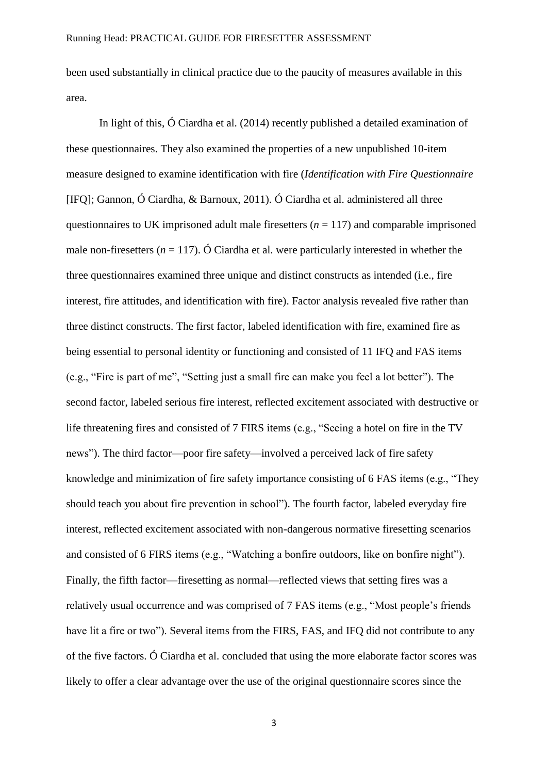been used substantially in clinical practice due to the paucity of measures available in this area.

In light of this, Ó Ciardha et al. (2014) recently published a detailed examination of these questionnaires. They also examined the properties of a new unpublished 10-item measure designed to examine identification with fire (*Identification with Fire Questionnaire*  [IFQ]; Gannon, Ó Ciardha, & Barnoux, 2011). Ó Ciardha et al. administered all three questionnaires to UK imprisoned adult male firesetters  $(n = 117)$  and comparable imprisoned male non-firesetters ( $n = 117$ ). Ó Ciardha et al. were particularly interested in whether the three questionnaires examined three unique and distinct constructs as intended (i.e., fire interest, fire attitudes, and identification with fire). Factor analysis revealed five rather than three distinct constructs. The first factor, labeled identification with fire, examined fire as being essential to personal identity or functioning and consisted of 11 IFQ and FAS items (e.g., "Fire is part of me", "Setting just a small fire can make you feel a lot better"). The second factor, labeled serious fire interest, reflected excitement associated with destructive or life threatening fires and consisted of 7 FIRS items (e.g., "Seeing a hotel on fire in the TV news"). The third factor—poor fire safety—involved a perceived lack of fire safety knowledge and minimization of fire safety importance consisting of 6 FAS items (e.g., "They should teach you about fire prevention in school"). The fourth factor, labeled everyday fire interest, reflected excitement associated with non-dangerous normative firesetting scenarios and consisted of 6 FIRS items (e.g., "Watching a bonfire outdoors, like on bonfire night"). Finally, the fifth factor—firesetting as normal—reflected views that setting fires was a relatively usual occurrence and was comprised of 7 FAS items (e.g., "Most people's friends have lit a fire or two"). Several items from the FIRS, FAS, and IFQ did not contribute to any of the five factors. Ó Ciardha et al. concluded that using the more elaborate factor scores was likely to offer a clear advantage over the use of the original questionnaire scores since the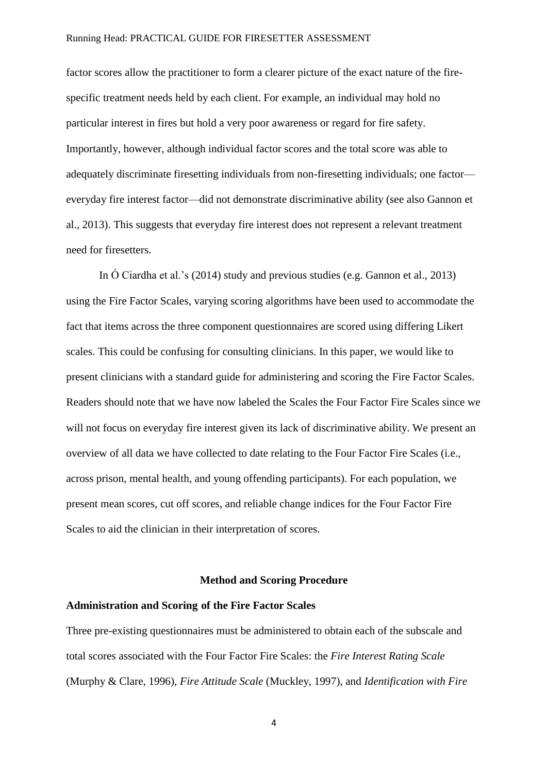factor scores allow the practitioner to form a clearer picture of the exact nature of the firespecific treatment needs held by each client. For example, an individual may hold no particular interest in fires but hold a very poor awareness or regard for fire safety. Importantly, however, although individual factor scores and the total score was able to adequately discriminate firesetting individuals from non-firesetting individuals; one factor everyday fire interest factor—did not demonstrate discriminative ability (see also Gannon et al., 2013). This suggests that everyday fire interest does not represent a relevant treatment need for firesetters.

In Ó Ciardha et al.'s (2014) study and previous studies (e.g. Gannon et al., 2013) using the Fire Factor Scales, varying scoring algorithms have been used to accommodate the fact that items across the three component questionnaires are scored using differing Likert scales. This could be confusing for consulting clinicians. In this paper, we would like to present clinicians with a standard guide for administering and scoring the Fire Factor Scales. Readers should note that we have now labeled the Scales the Four Factor Fire Scales since we will not focus on everyday fire interest given its lack of discriminative ability. We present an overview of all data we have collected to date relating to the Four Factor Fire Scales (i.e., across prison, mental health, and young offending participants). For each population, we present mean scores, cut off scores, and reliable change indices for the Four Factor Fire Scales to aid the clinician in their interpretation of scores.

#### **Method and Scoring Procedure**

#### **Administration and Scoring of the Fire Factor Scales**

Three pre-existing questionnaires must be administered to obtain each of the subscale and total scores associated with the Four Factor Fire Scales: the *Fire Interest Rating Scale* (Murphy & Clare, 1996), *Fire Attitude Scale* (Muckley, 1997), and *Identification with Fire*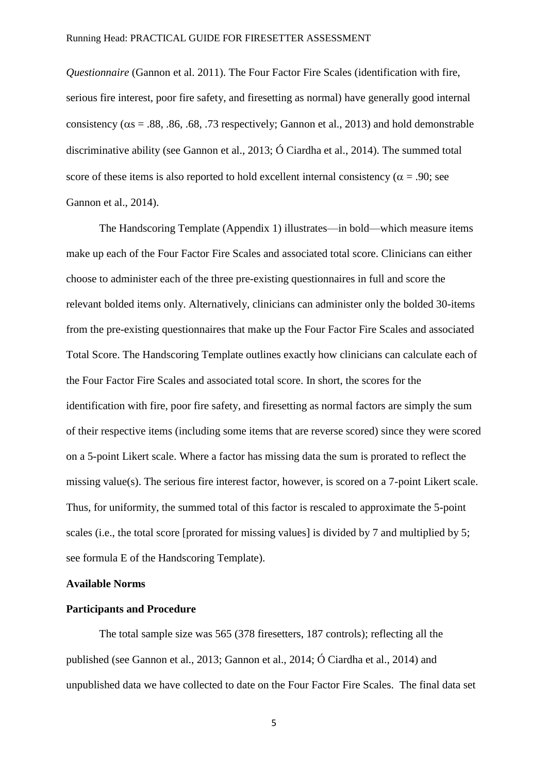*Questionnaire* (Gannon et al. 2011). The Four Factor Fire Scales (identification with fire, serious fire interest, poor fire safety, and firesetting as normal) have generally good internal consistency ( $\alpha$ s = .88, .86, .68, .73 respectively; Gannon et al., 2013) and hold demonstrable discriminative ability (see Gannon et al., 2013; Ó Ciardha et al., 2014). The summed total score of these items is also reported to hold excellent internal consistency ( $\alpha$  = .90; see Gannon et al., 2014).

The Handscoring Template (Appendix 1) illustrates—in bold—which measure items make up each of the Four Factor Fire Scales and associated total score. Clinicians can either choose to administer each of the three pre-existing questionnaires in full and score the relevant bolded items only. Alternatively, clinicians can administer only the bolded 30-items from the pre-existing questionnaires that make up the Four Factor Fire Scales and associated Total Score. The Handscoring Template outlines exactly how clinicians can calculate each of the Four Factor Fire Scales and associated total score. In short, the scores for the identification with fire, poor fire safety, and firesetting as normal factors are simply the sum of their respective items (including some items that are reverse scored) since they were scored on a 5-point Likert scale. Where a factor has missing data the sum is prorated to reflect the missing value(s). The serious fire interest factor, however, is scored on a 7-point Likert scale. Thus, for uniformity, the summed total of this factor is rescaled to approximate the 5-point scales (i.e., the total score [prorated for missing values] is divided by 7 and multiplied by 5; see formula E of the Handscoring Template).

#### **Available Norms**

#### **Participants and Procedure**

The total sample size was 565 (378 firesetters, 187 controls); reflecting all the published (see Gannon et al., 2013; Gannon et al., 2014; Ó Ciardha et al., 2014) and unpublished data we have collected to date on the Four Factor Fire Scales. The final data set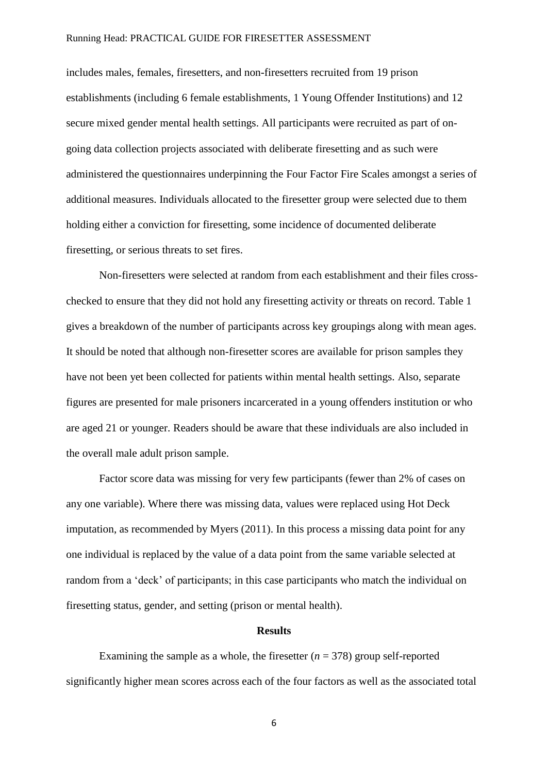includes males, females, firesetters, and non-firesetters recruited from 19 prison establishments (including 6 female establishments, 1 Young Offender Institutions) and 12 secure mixed gender mental health settings. All participants were recruited as part of ongoing data collection projects associated with deliberate firesetting and as such were administered the questionnaires underpinning the Four Factor Fire Scales amongst a series of additional measures. Individuals allocated to the firesetter group were selected due to them holding either a conviction for firesetting, some incidence of documented deliberate firesetting, or serious threats to set fires.

Non-firesetters were selected at random from each establishment and their files crosschecked to ensure that they did not hold any firesetting activity or threats on record. Table 1 gives a breakdown of the number of participants across key groupings along with mean ages. It should be noted that although non-firesetter scores are available for prison samples they have not been yet been collected for patients within mental health settings. Also, separate figures are presented for male prisoners incarcerated in a young offenders institution or who are aged 21 or younger. Readers should be aware that these individuals are also included in the overall male adult prison sample.

 Factor score data was missing for very few participants (fewer than 2% of cases on any one variable). Where there was missing data, values were replaced using Hot Deck imputation, as recommended by Myers (2011). In this process a missing data point for any one individual is replaced by the value of a data point from the same variable selected at random from a 'deck' of participants; in this case participants who match the individual on firesetting status, gender, and setting (prison or mental health).

#### **Results**

Examining the sample as a whole, the firesetter  $(n = 378)$  group self-reported significantly higher mean scores across each of the four factors as well as the associated total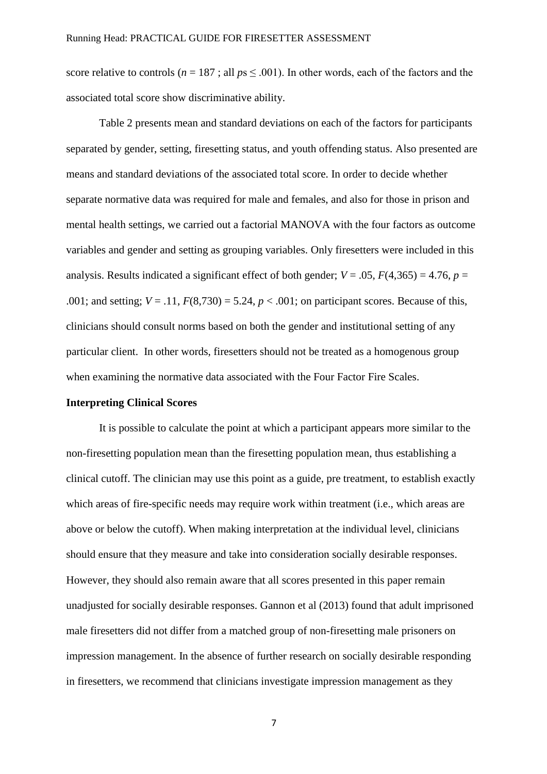score relative to controls ( $n = 187$ ; all  $ps \le 0.001$ ). In other words, each of the factors and the associated total score show discriminative ability.

Table 2 presents mean and standard deviations on each of the factors for participants separated by gender, setting, firesetting status, and youth offending status. Also presented are means and standard deviations of the associated total score. In order to decide whether separate normative data was required for male and females, and also for those in prison and mental health settings, we carried out a factorial MANOVA with the four factors as outcome variables and gender and setting as grouping variables. Only firesetters were included in this analysis. Results indicated a significant effect of both gender;  $V = .05$ ,  $F(4,365) = 4.76$ ,  $p =$ .001; and setting;  $V = .11$ ,  $F(8,730) = 5.24$ ,  $p < .001$ ; on participant scores. Because of this, clinicians should consult norms based on both the gender and institutional setting of any particular client. In other words, firesetters should not be treated as a homogenous group when examining the normative data associated with the Four Factor Fire Scales.

#### **Interpreting Clinical Scores**

 It is possible to calculate the point at which a participant appears more similar to the non-firesetting population mean than the firesetting population mean, thus establishing a clinical cutoff. The clinician may use this point as a guide, pre treatment, to establish exactly which areas of fire-specific needs may require work within treatment (i.e., which areas are above or below the cutoff). When making interpretation at the individual level, clinicians should ensure that they measure and take into consideration socially desirable responses. However, they should also remain aware that all scores presented in this paper remain unadjusted for socially desirable responses. Gannon et al (2013) found that adult imprisoned male firesetters did not differ from a matched group of non-firesetting male prisoners on impression management. In the absence of further research on socially desirable responding in firesetters, we recommend that clinicians investigate impression management as they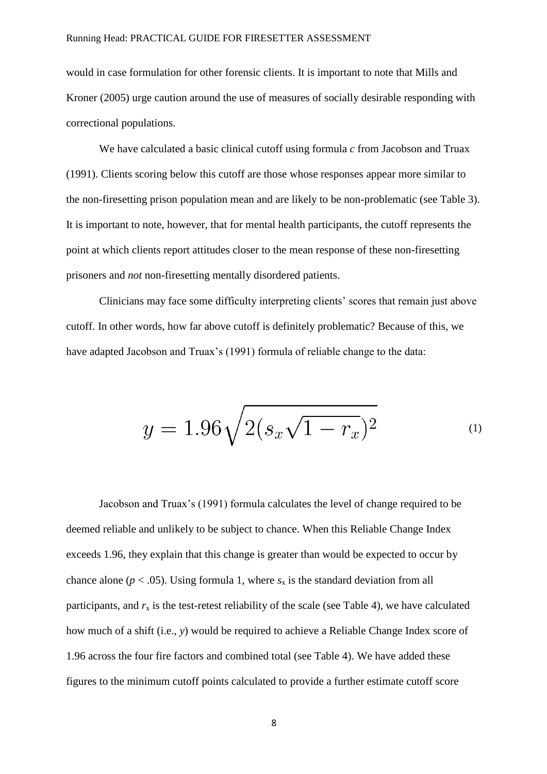would in case formulation for other forensic clients. It is important to note that Mills and Kroner (2005) urge caution around the use of measures of socially desirable responding with correctional populations.

We have calculated a basic clinical cutoff using formula *c* from Jacobson and Truax (1991). Clients scoring below this cutoff are those whose responses appear more similar to the non-firesetting prison population mean and are likely to be non-problematic (see Table 3). It is important to note, however, that for mental health participants, the cutoff represents the point at which clients report attitudes closer to the mean response of these non-firesetting prisoners and *not* non-firesetting mentally disordered patients.

Clinicians may face some difficulty interpreting clients' scores that remain just above cutoff. In other words, how far above cutoff is definitely problematic? Because of this, we have adapted Jacobson and Truax's (1991) formula of reliable change to the data:

$$
y = 1.96\sqrt{2(s_x\sqrt{1 - r_x})^2}
$$
 (1)

Jacobson and Truax's (1991) formula calculates the level of change required to be deemed reliable and unlikely to be subject to chance. When this Reliable Change Index exceeds 1.96, they explain that this change is greater than would be expected to occur by chance alone ( $p < .05$ ). Using formula 1, where  $s_x$  is the standard deviation from all participants, and  $r<sub>x</sub>$  is the test-retest reliability of the scale (see Table 4), we have calculated how much of a shift (i.e., *y*) would be required to achieve a Reliable Change Index score of 1.96 across the four fire factors and combined total (see Table 4). We have added these figures to the minimum cutoff points calculated to provide a further estimate cutoff score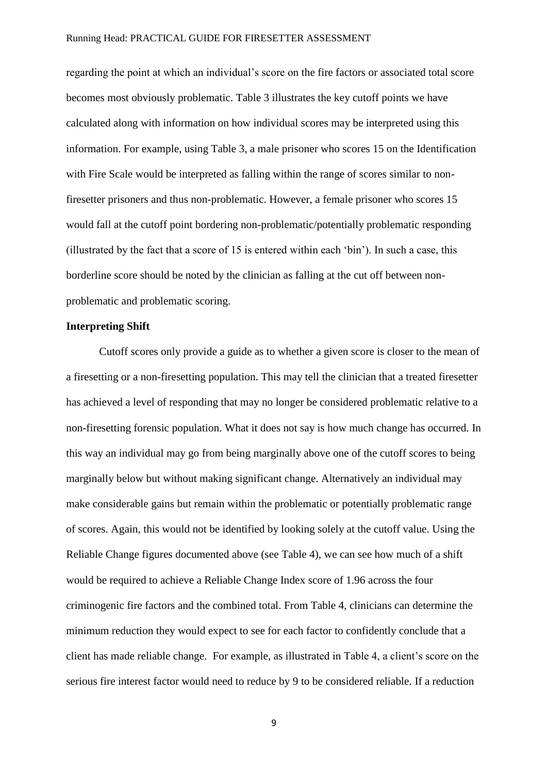regarding the point at which an individual's score on the fire factors or associated total score becomes most obviously problematic. Table 3 illustrates the key cutoff points we have calculated along with information on how individual scores may be interpreted using this information. For example, using Table 3, a male prisoner who scores 15 on the Identification with Fire Scale would be interpreted as falling within the range of scores similar to nonfiresetter prisoners and thus non-problematic. However, a female prisoner who scores 15 would fall at the cutoff point bordering non-problematic/potentially problematic responding (illustrated by the fact that a score of 15 is entered within each 'bin'). In such a case, this borderline score should be noted by the clinician as falling at the cut off between nonproblematic and problematic scoring.

#### **Interpreting Shift**

 Cutoff scores only provide a guide as to whether a given score is closer to the mean of a firesetting or a non-firesetting population. This may tell the clinician that a treated firesetter has achieved a level of responding that may no longer be considered problematic relative to a non-firesetting forensic population. What it does not say is how much change has occurred. In this way an individual may go from being marginally above one of the cutoff scores to being marginally below but without making significant change. Alternatively an individual may make considerable gains but remain within the problematic or potentially problematic range of scores. Again, this would not be identified by looking solely at the cutoff value. Using the Reliable Change figures documented above (see Table 4), we can see how much of a shift would be required to achieve a Reliable Change Index score of 1.96 across the four criminogenic fire factors and the combined total. From Table 4, clinicians can determine the minimum reduction they would expect to see for each factor to confidently conclude that a client has made reliable change. For example, as illustrated in Table 4, a client's score on the serious fire interest factor would need to reduce by 9 to be considered reliable. If a reduction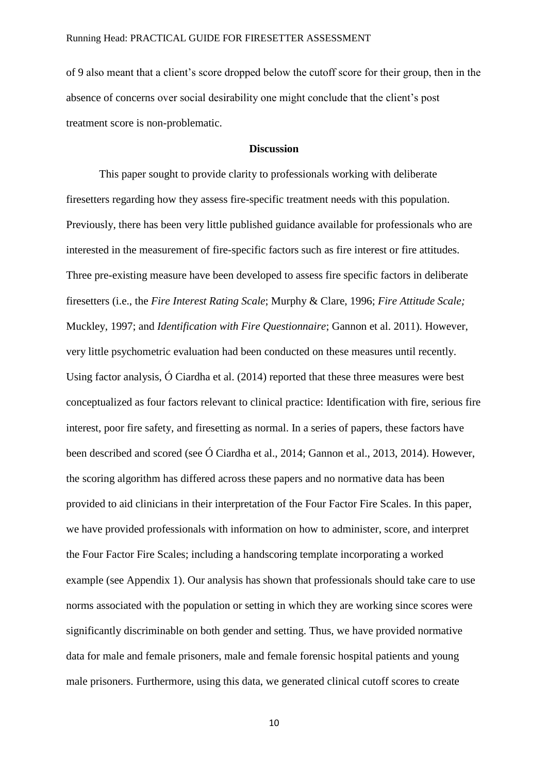of 9 also meant that a client's score dropped below the cutoff score for their group, then in the absence of concerns over social desirability one might conclude that the client's post treatment score is non-problematic.

#### **Discussion**

This paper sought to provide clarity to professionals working with deliberate firesetters regarding how they assess fire-specific treatment needs with this population. Previously, there has been very little published guidance available for professionals who are interested in the measurement of fire-specific factors such as fire interest or fire attitudes. Three pre-existing measure have been developed to assess fire specific factors in deliberate firesetters (i.e., the *Fire Interest Rating Scale*; Murphy & Clare, 1996; *Fire Attitude Scale;*  Muckley, 1997; and *Identification with Fire Questionnaire*; Gannon et al. 2011). However, very little psychometric evaluation had been conducted on these measures until recently. Using factor analysis, Ó Ciardha et al. (2014) reported that these three measures were best conceptualized as four factors relevant to clinical practice: Identification with fire, serious fire interest, poor fire safety, and firesetting as normal. In a series of papers, these factors have been described and scored (see Ó Ciardha et al., 2014; Gannon et al., 2013, 2014). However, the scoring algorithm has differed across these papers and no normative data has been provided to aid clinicians in their interpretation of the Four Factor Fire Scales. In this paper, we have provided professionals with information on how to administer, score, and interpret the Four Factor Fire Scales; including a handscoring template incorporating a worked example (see Appendix 1). Our analysis has shown that professionals should take care to use norms associated with the population or setting in which they are working since scores were significantly discriminable on both gender and setting. Thus, we have provided normative data for male and female prisoners, male and female forensic hospital patients and young male prisoners. Furthermore, using this data, we generated clinical cutoff scores to create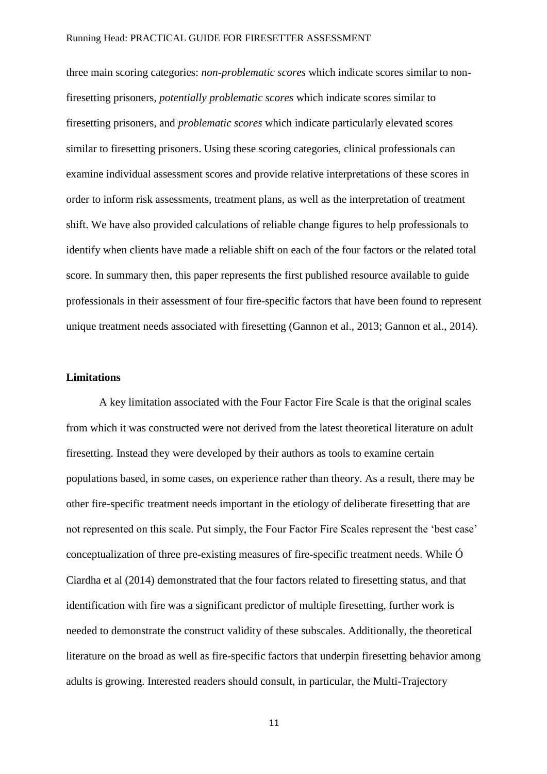three main scoring categories: *non-problematic scores* which indicate scores similar to nonfiresetting prisoners, *potentially problematic scores* which indicate scores similar to firesetting prisoners, and *problematic scores* which indicate particularly elevated scores similar to firesetting prisoners. Using these scoring categories, clinical professionals can examine individual assessment scores and provide relative interpretations of these scores in order to inform risk assessments, treatment plans, as well as the interpretation of treatment shift. We have also provided calculations of reliable change figures to help professionals to identify when clients have made a reliable shift on each of the four factors or the related total score. In summary then, this paper represents the first published resource available to guide professionals in their assessment of four fire-specific factors that have been found to represent unique treatment needs associated with firesetting (Gannon et al., 2013; Gannon et al., 2014).

#### **Limitations**

A key limitation associated with the Four Factor Fire Scale is that the original scales from which it was constructed were not derived from the latest theoretical literature on adult firesetting. Instead they were developed by their authors as tools to examine certain populations based, in some cases, on experience rather than theory. As a result, there may be other fire-specific treatment needs important in the etiology of deliberate firesetting that are not represented on this scale. Put simply, the Four Factor Fire Scales represent the 'best case' conceptualization of three pre-existing measures of fire-specific treatment needs. While Ó Ciardha et al (2014) demonstrated that the four factors related to firesetting status, and that identification with fire was a significant predictor of multiple firesetting, further work is needed to demonstrate the construct validity of these subscales. Additionally, the theoretical literature on the broad as well as fire-specific factors that underpin firesetting behavior among adults is growing. Interested readers should consult, in particular, the Multi-Trajectory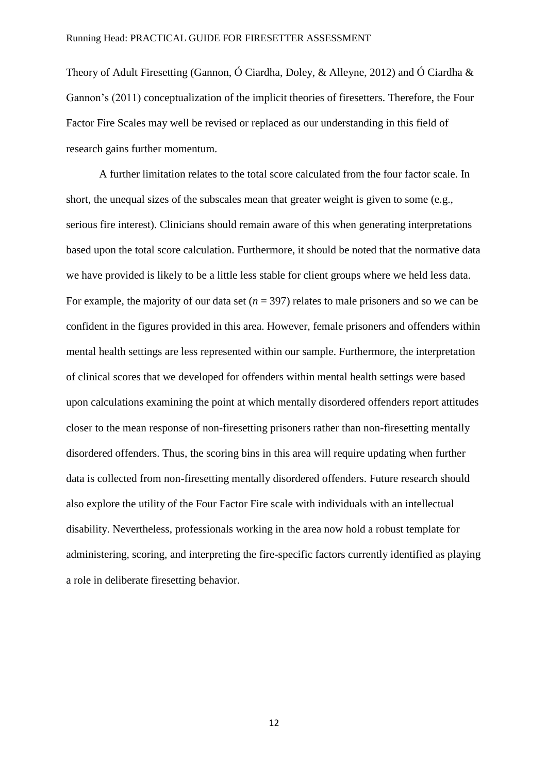Theory of Adult Firesetting (Gannon, Ó Ciardha, Doley, & Alleyne, 2012) and Ó Ciardha & Gannon's (2011) conceptualization of the implicit theories of firesetters. Therefore, the Four Factor Fire Scales may well be revised or replaced as our understanding in this field of research gains further momentum.

A further limitation relates to the total score calculated from the four factor scale. In short, the unequal sizes of the subscales mean that greater weight is given to some (e.g., serious fire interest). Clinicians should remain aware of this when generating interpretations based upon the total score calculation. Furthermore, it should be noted that the normative data we have provided is likely to be a little less stable for client groups where we held less data. For example, the majority of our data set  $(n = 397)$  relates to male prisoners and so we can be confident in the figures provided in this area. However, female prisoners and offenders within mental health settings are less represented within our sample. Furthermore, the interpretation of clinical scores that we developed for offenders within mental health settings were based upon calculations examining the point at which mentally disordered offenders report attitudes closer to the mean response of non-firesetting prisoners rather than non-firesetting mentally disordered offenders. Thus, the scoring bins in this area will require updating when further data is collected from non-firesetting mentally disordered offenders. Future research should also explore the utility of the Four Factor Fire scale with individuals with an intellectual disability. Nevertheless, professionals working in the area now hold a robust template for administering, scoring, and interpreting the fire-specific factors currently identified as playing a role in deliberate firesetting behavior.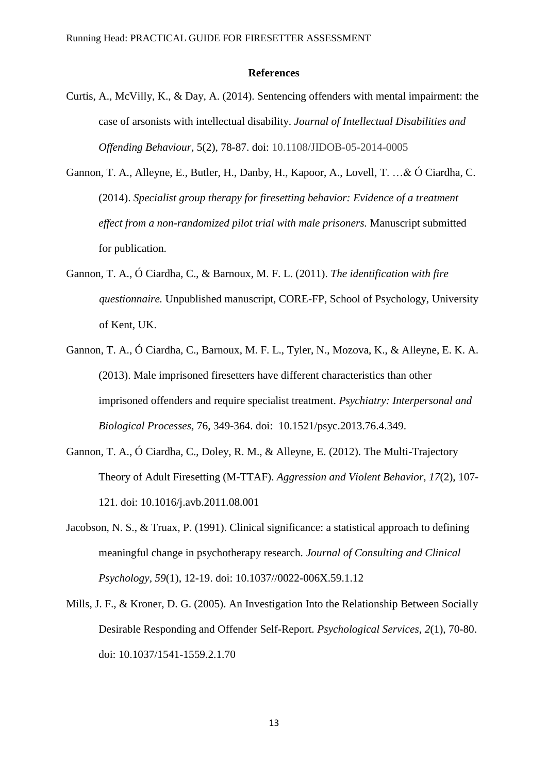#### **References**

- Curtis, A., McVilly, K., & Day, A. (2014). Sentencing offenders with mental impairment: the case of arsonists with intellectual disability. *Journal of Intellectual Disabilities and Offending Behaviour,* 5(2), 78-87. doi: 10.1108/JIDOB-05-2014-0005
- Gannon, T. A., Alleyne, E., Butler, H., Danby, H., Kapoor, A., Lovell, T. …& Ó Ciardha, C. (2014). *Specialist group therapy for firesetting behavior: Evidence of a treatment effect from a non-randomized pilot trial with male prisoners.* Manuscript submitted for publication.
- Gannon, T. A., Ó Ciardha, C., & Barnoux, M. F. L. (2011). *The identification with fire questionnaire.* Unpublished manuscript, CORE-FP, School of Psychology, University of Kent, UK.
- Gannon, T. A., Ó Ciardha, C., Barnoux, M. F. L., Tyler, N., Mozova, K., & Alleyne, E. K. A. (2013). Male imprisoned firesetters have different characteristics than other imprisoned offenders and require specialist treatment. *Psychiatry: Interpersonal and Biological Processes,* 76, 349-364. doi: 10.1521/psyc.2013.76.4.349.
- Gannon, T. A., Ó Ciardha, C., Doley, R. M., & Alleyne, E. (2012). The Multi-Trajectory Theory of Adult Firesetting (M-TTAF). *Aggression and Violent Behavior, 17*(2), 107- 121. doi: 10.1016/j.avb.2011.08.001
- Jacobson, N. S., & Truax, P. (1991). Clinical significance: a statistical approach to defining meaningful change in psychotherapy research. *Journal of Consulting and Clinical Psychology, 59*(1), 12-19. doi: 10.1037//0022-006X.59.1.12
- Mills, J. F., & Kroner, D. G. (2005). An Investigation Into the Relationship Between Socially Desirable Responding and Offender Self-Report. *Psychological Services, 2*(1), 70-80. doi: 10.1037/1541-1559.2.1.70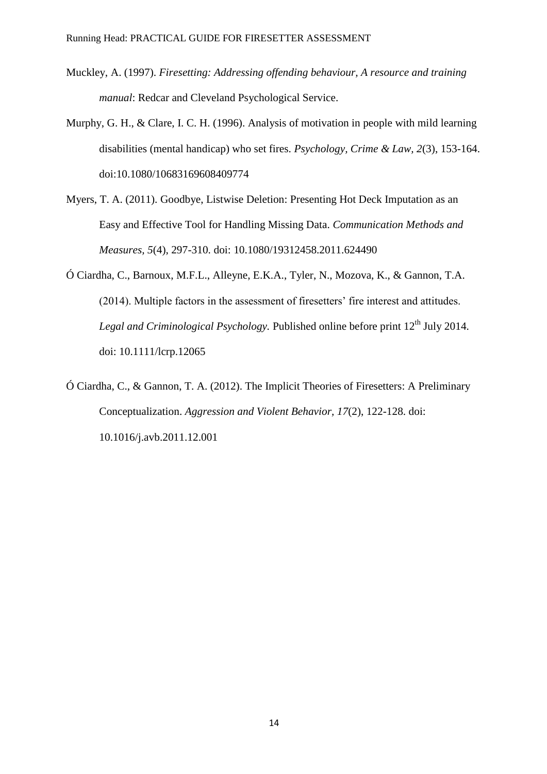- Muckley, A. (1997). *Firesetting: Addressing offending behaviour, A resource and training manual*: Redcar and Cleveland Psychological Service.
- Murphy, G. H., & Clare, I. C. H. (1996). Analysis of motivation in people with mild learning disabilities (mental handicap) who set fires. *Psychology, Crime & Law, 2*(3), 153-164. doi:10.1080/10683169608409774
- Myers, T. A. (2011). Goodbye, Listwise Deletion: Presenting Hot Deck Imputation as an Easy and Effective Tool for Handling Missing Data. *Communication Methods and Measures, 5*(4), 297-310. doi: 10.1080/19312458.2011.624490
- Ó Ciardha, C., Barnoux, M.F.L., Alleyne, E.K.A., Tyler, N., Mozova, K., & Gannon, T.A. (2014). Multiple factors in the assessment of firesetters' fire interest and attitudes. *Legal and Criminological Psychology.* Published online before print 12<sup>th</sup> July 2014. doi: 10.1111/lcrp.12065
- Ó Ciardha, C., & Gannon, T. A. (2012). The Implicit Theories of Firesetters: A Preliminary Conceptualization. *Aggression and Violent Behavior, 17*(2), 122-128. doi: 10.1016/j.avb.2011.12.001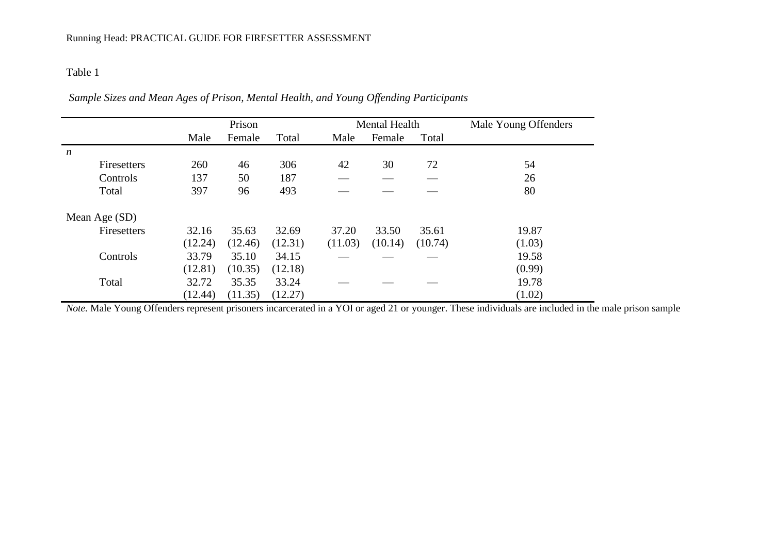*Sample Sizes and Mean Ages of Prison, Mental Health, and Young Offending Participants* 

|                  | Prison  |         |         |         | <b>Mental Health</b> |         | Male Young Offenders |
|------------------|---------|---------|---------|---------|----------------------|---------|----------------------|
|                  | Male    | Female  | Total   | Male    | Female               | Total   |                      |
| $\boldsymbol{n}$ |         |         |         |         |                      |         |                      |
| Firesetters      | 260     | 46      | 306     | 42      | 30                   | 72      | 54                   |
| Controls         | 137     | 50      | 187     |         |                      |         | 26                   |
| Total            | 397     | 96      | 493     |         |                      |         | 80                   |
| Mean Age (SD)    |         |         |         |         |                      |         |                      |
| Firesetters      | 32.16   | 35.63   | 32.69   | 37.20   | 33.50                | 35.61   | 19.87                |
|                  | (12.24) | (12.46) | (12.31) | (11.03) | (10.14)              | (10.74) | (1.03)               |
| Controls         | 33.79   | 35.10   | 34.15   |         |                      |         | 19.58                |
|                  | (12.81) | (10.35) | (12.18) |         |                      |         | (0.99)               |
| Total            | 32.72   | 35.35   | 33.24   |         |                      |         | 19.78                |
|                  | (12.44) | (11.35) | (12.27) |         |                      |         | (1.02)               |

*Note.* Male Young Offenders represent prisoners incarcerated in a YOI or aged 21 or younger. These individuals are included in the male prison sample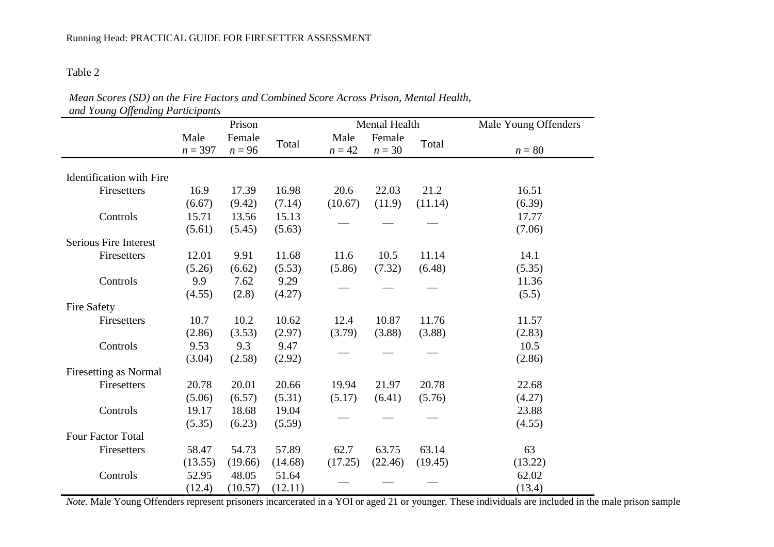| Mean Scores (SD) on the Fire Factors and Combined Score Across Prison, Mental Health, |
|---------------------------------------------------------------------------------------|
| and Young Offending Participants                                                      |

|                                 | Prison            |                    |         |                  | Mental Health      |         | Male Young Offenders |  |  |
|---------------------------------|-------------------|--------------------|---------|------------------|--------------------|---------|----------------------|--|--|
|                                 | Male<br>$n = 397$ | Female<br>$n = 96$ | Total   | Male<br>$n = 42$ | Female<br>$n = 30$ | Total   | $n = 80$             |  |  |
| <b>Identification</b> with Fire |                   |                    |         |                  |                    |         |                      |  |  |
| Firesetters                     | 16.9              | 17.39              | 16.98   | 20.6             | 22.03              | 21.2    | 16.51                |  |  |
|                                 | (6.67)            | (9.42)             | (7.14)  | (10.67)          | (11.9)             | (11.14) | (6.39)               |  |  |
| Controls                        | 15.71             | 13.56              | 15.13   |                  |                    |         | 17.77                |  |  |
|                                 | (5.61)            | (5.45)             | (5.63)  |                  |                    |         | (7.06)               |  |  |
| Serious Fire Interest           |                   |                    |         |                  |                    |         |                      |  |  |
| Firesetters                     | 12.01             | 9.91               | 11.68   | 11.6             | 10.5               | 11.14   | 14.1                 |  |  |
|                                 | (5.26)            | (6.62)             | (5.53)  | (5.86)           | (7.32)             | (6.48)  | (5.35)               |  |  |
| Controls                        | 9.9               | 7.62               | 9.29    |                  |                    |         | 11.36                |  |  |
|                                 | (4.55)            | (2.8)              | (4.27)  |                  |                    |         | (5.5)                |  |  |
| <b>Fire Safety</b>              |                   |                    |         |                  |                    |         |                      |  |  |
| Firesetters                     | 10.7              | 10.2               | 10.62   | 12.4             | 10.87              | 11.76   | 11.57                |  |  |
|                                 | (2.86)            | (3.53)             | (2.97)  | (3.79)           | (3.88)             | (3.88)  | (2.83)               |  |  |
| Controls                        | 9.53              | 9.3                | 9.47    |                  |                    |         | 10.5                 |  |  |
|                                 | (3.04)            | (2.58)             | (2.92)  |                  |                    |         | (2.86)               |  |  |
| Firesetting as Normal           |                   |                    |         |                  |                    |         |                      |  |  |
| Firesetters                     | 20.78             | 20.01              | 20.66   | 19.94            | 21.97              | 20.78   | 22.68                |  |  |
|                                 | (5.06)            | (6.57)             | (5.31)  | (5.17)           | (6.41)             | (5.76)  | (4.27)               |  |  |
| Controls                        | 19.17             | 18.68              | 19.04   |                  |                    |         | 23.88                |  |  |
|                                 | (5.35)            | (6.23)             | (5.59)  |                  |                    |         | (4.55)               |  |  |
| Four Factor Total               |                   |                    |         |                  |                    |         |                      |  |  |
| Firesetters                     | 58.47             | 54.73              | 57.89   | 62.7             | 63.75              | 63.14   | 63                   |  |  |
|                                 | (13.55)           | (19.66)            | (14.68) | (17.25)          | (22.46)            | (19.45) | (13.22)              |  |  |
| Controls                        | 52.95             | 48.05              | 51.64   |                  |                    |         | 62.02                |  |  |
|                                 | (12.4)            | (10.57)            | (12.11) |                  |                    |         | (13.4)               |  |  |

*Note.* Male Young Offenders represent prisoners incarcerated in a YOI or aged 21 or younger. These individuals are included in the male prison sample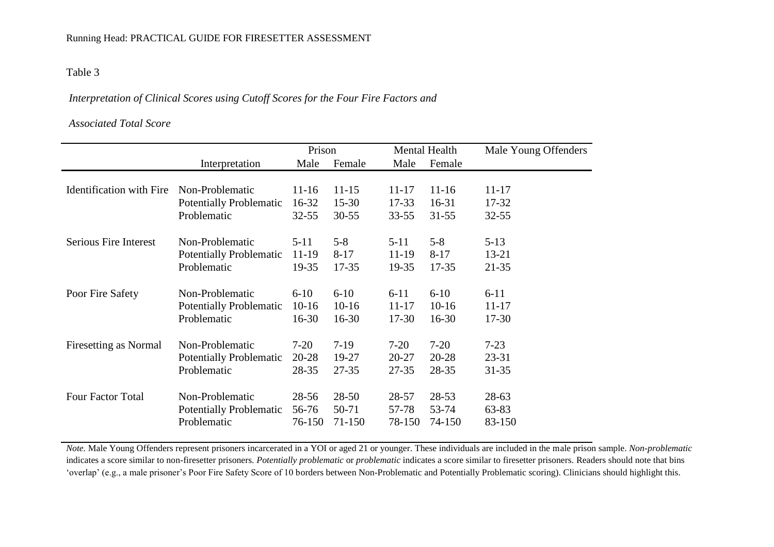#### *Interpretation of Clinical Scores using Cutoff Scores for the Four Fire Factors and*

#### *Associated Total Score*

|                                 |                                | Prison    |           |           | Mental Health | Male Young Offenders |
|---------------------------------|--------------------------------|-----------|-----------|-----------|---------------|----------------------|
|                                 | Interpretation                 | Male      | Female    | Male      | Female        |                      |
|                                 |                                |           |           |           |               |                      |
| <b>Identification</b> with Fire | Non-Problematic                | $11 - 16$ | $11 - 15$ | $11 - 17$ | $11 - 16$     | $11 - 17$            |
|                                 | <b>Potentially Problematic</b> | 16-32     | $15 - 30$ | $17 - 33$ | $16 - 31$     | $17 - 32$            |
|                                 | Problematic                    | $32 - 55$ | $30 - 55$ | $33 - 55$ | $31 - 55$     | $32 - 55$            |
|                                 |                                |           |           |           |               |                      |
| <b>Serious Fire Interest</b>    | Non-Problematic                | $5 - 11$  | $5 - 8$   | $5 - 11$  | $5 - 8$       | $5 - 13$             |
|                                 | <b>Potentially Problematic</b> | 11-19     | $8 - 17$  | 11-19     | $8 - 17$      | $13 - 21$            |
|                                 | Problematic                    | 19-35     | $17 - 35$ | 19-35     | $17 - 35$     | $21 - 35$            |
|                                 |                                |           |           |           |               |                      |
| Poor Fire Safety                | Non-Problematic                | $6 - 10$  | $6 - 10$  | $6 - 11$  | $6 - 10$      | $6 - 11$             |
|                                 | <b>Potentially Problematic</b> | $10-16$   | $10-16$   | $11 - 17$ | $10-16$       | 11-17                |
|                                 | Problematic                    | $16-30$   | $16 - 30$ | $17 - 30$ | $16-30$       | $17 - 30$            |
|                                 |                                |           |           |           |               |                      |
| Firesetting as Normal           | Non-Problematic                | $7-20$    | $7-19$    | $7-20$    | $7 - 20$      | $7 - 23$             |
|                                 | <b>Potentially Problematic</b> | $20 - 28$ | 19-27     | $20 - 27$ | $20 - 28$     | $23 - 31$            |
|                                 | Problematic                    | 28-35     | $27 - 35$ | $27 - 35$ | 28-35         | $31 - 35$            |
| <b>Four Factor Total</b>        | Non-Problematic                | 28-56     | $28 - 50$ | 28-57     | $28 - 53$     | $28-63$              |
|                                 | <b>Potentially Problematic</b> | 56-76     | 50-71     | 57-78     | 53-74         | 63-83                |
|                                 |                                |           |           |           |               |                      |
|                                 | Problematic                    | 76-150    | 71-150    | 78-150    | 74-150        | 83-150               |

*Note.* Male Young Offenders represent prisoners incarcerated in a YOI or aged 21 or younger. These individuals are included in the male prison sample. *Non-problematic* indicates a score similar to non-firesetter prisoners. *Potentially problematic* or *problematic* indicates a score similar to firesetter prisoners. Readers should note that bins 'overlap' (e.g., a male prisoner's Poor Fire Safety Score of 10 borders between Non-Problematic and Potentially Problematic scoring). Clinicians should highlight this.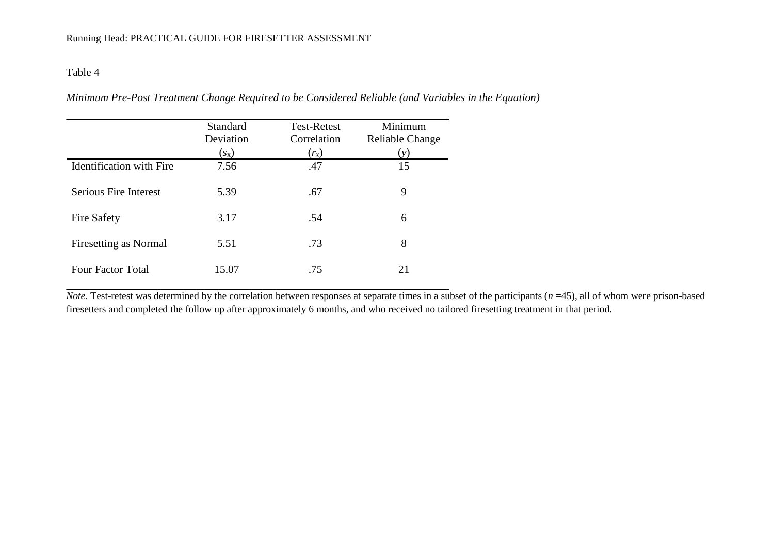| Minimum Pre-Post Treatment Change Required to be Considered Reliable (and Variables in the Equation) |  |  |  |
|------------------------------------------------------------------------------------------------------|--|--|--|
|------------------------------------------------------------------------------------------------------|--|--|--|

|                                 | <b>Standard</b><br>Deviation | <b>Test-Retest</b><br>Correlation | Minimum<br>Reliable Change |
|---------------------------------|------------------------------|-----------------------------------|----------------------------|
|                                 | $(s_{x})$                    | $(r_x)$                           | (y)                        |
| <b>Identification</b> with Fire | 7.56                         | .47                               | 15                         |
| <b>Serious Fire Interest</b>    |                              |                                   | 9                          |
|                                 | 5.39                         | .67                               |                            |
| Fire Safety                     | 3.17                         | .54                               | 6                          |
|                                 |                              |                                   |                            |
| <b>Firesetting as Normal</b>    | 5.51                         | .73                               | 8                          |
|                                 |                              |                                   |                            |
| <b>Four Factor Total</b>        | 15.07                        | .75                               | 21                         |
|                                 |                              |                                   |                            |

*Note*. Test-retest was determined by the correlation between responses at separate times in a subset of the participants (*n* =45), all of whom were prison-based firesetters and completed the follow up after approximately 6 months, and who received no tailored firesetting treatment in that period.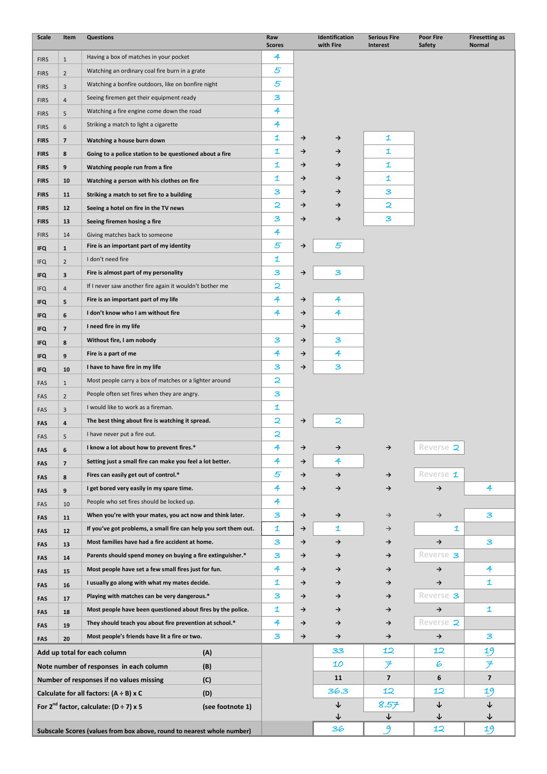| <b>Scale</b>               | Item           | <b>Questions</b>                                                           | Raw<br><b>Scores</b>         |               | Identification<br>with Fire | <b>Serious Fire</b><br><b>Interest</b> | <b>Poor Fire</b><br>Safety | <b>Firesetting as</b><br>Normal |
|----------------------------|----------------|----------------------------------------------------------------------------|------------------------------|---------------|-----------------------------|----------------------------------------|----------------------------|---------------------------------|
| <b>FIRS</b>                | $\mathbf{1}$   | Having a box of matches in your pocket                                     | 4                            |               |                             |                                        |                            |                                 |
| <b>FIRS</b>                | $\overline{2}$ | Watching an ordinary coal fire burn in a grate                             | 5                            |               |                             |                                        |                            |                                 |
| <b>FIRS</b>                | 3              | Watching a bonfire outdoors, like on bonfire night                         | 5                            |               |                             |                                        |                            |                                 |
| <b>FIRS</b>                | $\overline{4}$ | Seeing firemen get their equipment ready                                   | З                            |               |                             |                                        |                            |                                 |
| <b>FIRS</b>                | 5              | Watching a fire engine come down the road                                  | 4                            |               |                             |                                        |                            |                                 |
| <b>FIRS</b>                | 6              | Striking a match to light a cigarette                                      | 4                            |               |                             |                                        |                            |                                 |
|                            | $\overline{7}$ |                                                                            | 1                            | →             | $\rightarrow$               | 1                                      |                            |                                 |
| <b>FIRS</b>                | 8              | Watching a house burn down                                                 | $\mathbf 1$                  | →             | →                           | 1                                      |                            |                                 |
| <b>FIRS</b>                |                | Going to a police station to be questioned about a fire                    | $\mathbf{1}$                 | →             | →                           | $\mathbf{1}$                           |                            |                                 |
| <b>FIRS</b><br><b>FIRS</b> | 9<br>10        | Watching people run from a fire                                            | $\mathbf{1}$                 | →             | →                           | $\mathbf{1}$                           |                            |                                 |
|                            |                | Watching a person with his clothes on fire                                 | З                            | →             | →                           | З                                      |                            |                                 |
| <b>FIRS</b>                | 11             | Striking a match to set fire to a building                                 | 2                            | →             | →                           | 2                                      |                            |                                 |
| <b>FIRS</b>                | 12             | Seeing a hotel on fire in the TV news                                      | З                            | →             | →                           | З                                      |                            |                                 |
| <b>FIRS</b>                | 13             | Seeing firemen hosing a fire                                               | 4                            |               |                             |                                        |                            |                                 |
| <b>FIRS</b>                | 14             | Giving matches back to someone<br>Fire is an important part of my identity | 5                            | →             | 5                           |                                        |                            |                                 |
| <b>IFQ</b>                 | $\mathbf{1}$   | I don't need fire                                                          | 1                            |               |                             |                                        |                            |                                 |
| <b>IFQ</b>                 | $\overline{2}$ | Fire is almost part of my personality                                      | 3                            | $\rightarrow$ | з                           |                                        |                            |                                 |
| <b>IFQ</b>                 | 3              | If I never saw another fire again it wouldn't bother me                    | 2                            |               |                             |                                        |                            |                                 |
| <b>IFQ</b>                 | $\overline{4}$ | Fire is an important part of my life                                       | 4                            | →             | 4                           |                                        |                            |                                 |
| <b>IFQ</b>                 | 5              |                                                                            | 4                            |               | 4                           |                                        |                            |                                 |
| <b>IFQ</b>                 | 6              | I don't know who I am without fire                                         |                              | →             |                             |                                        |                            |                                 |
| <b>IFQ</b>                 | $\overline{7}$ | I need fire in my life                                                     | З                            | →             | 3                           |                                        |                            |                                 |
| <b>IFQ</b>                 | 8              | Without fire, I am nobody                                                  |                              | →             |                             |                                        |                            |                                 |
| <b>IFQ</b>                 | 9              | Fire is a part of me                                                       | 4                            | →             | 4<br>3                      |                                        |                            |                                 |
| <b>IFQ</b>                 | 10             | I have to have fire in my life                                             | З<br>$\overline{\mathbf{z}}$ | $\rightarrow$ |                             |                                        |                            |                                 |
| FAS                        | $\mathbf{1}$   | Most people carry a box of matches or a lighter around                     |                              |               |                             |                                        |                            |                                 |
| FAS                        | $\overline{2}$ | People often set fires when they are angry.                                | З                            |               |                             |                                        |                            |                                 |
| FAS                        | 3              | I would like to work as a fireman.                                         | $\mathbf{1}$                 |               |                             |                                        |                            |                                 |
| FAS                        | 4              | The best thing about fire is watching it spread.                           | $\mathbf{z}$                 | $\rightarrow$ | 2                           |                                        |                            |                                 |
| FAS                        | 5              | I have never put a fire out.                                               | 2                            |               |                             |                                        |                            |                                 |
| FAS                        | 6              | I know a lot about how to prevent fires.*                                  | 4                            | $\rightarrow$ | →                           | →                                      | Reverse 2                  |                                 |
| <b>FAS</b>                 | $\overline{7}$ | Setting just a small fire can make you feel a lot better.                  | 4                            | →             | 4                           |                                        |                            |                                 |
| <b>FAS</b>                 | 8              | Fires can easily get out of control.*                                      | 5                            | →             | $\rightarrow$               | →                                      | Reverse 1                  |                                 |
| <b>FAS</b>                 | 9              | I get bored very easily in my spare time.                                  | 4                            | →             | →                           | →                                      | $\rightarrow$              | 4                               |
| FAS                        | 10             | People who set fires should be locked up.                                  | 4                            |               |                             |                                        |                            |                                 |
| <b>FAS</b>                 | 11             | When you're with your mates, you act now and think later.                  | 3                            | $\rightarrow$ | $\rightarrow$               | $\rightarrow$                          | $\rightarrow$              | З                               |
| <b>FAS</b>                 | 12             | If you've got problems, a small fire can help you sort them out.           | 1                            | $\rightarrow$ | 1                           | $\rightarrow$                          | 1                          |                                 |
| <b>FAS</b>                 | 13             | Most families have had a fire accident at home.                            | З                            | →             | $\rightarrow$               | $\rightarrow$                          | $\rightarrow$              | 3                               |
| FAS                        | 14             | Parents should spend money on buying a fire extinguisher.*                 | З                            | →             | →                           | →                                      | Reverse 3                  |                                 |
| <b>FAS</b>                 | 15             | Most people have set a few small fires just for fun.                       | 4                            | →             | →                           | $\rightarrow$                          | $\rightarrow$              | 4                               |
| <b>FAS</b>                 | 16             | I usually go along with what my mates decide.                              | 1                            | →             | →                           | →                                      | $\rightarrow$              | 1                               |
| <b>FAS</b>                 | 17             | Playing with matches can be very dangerous.*                               | З                            | →             | →                           | →                                      | Reverse 3                  |                                 |
| <b>FAS</b>                 | 18             | Most people have been questioned about fires by the police.                | 1                            | →             | →                           | →                                      | $\rightarrow$              | 1                               |
| <b>FAS</b>                 | 19             | They should teach you about fire prevention at school.*                    | 4                            | →             | →                           | $\rightarrow$                          | Reverse 2                  |                                 |
| <b>FAS</b>                 | 20             | Most people's friends have lit a fire or two.                              | З                            | $\rightarrow$ | →                           | $\rightarrow$                          | $\rightarrow$              | 3                               |
|                            |                | Add up total for each column<br>(A)                                        |                              |               | 33                          | 12                                     | 12                         | 19                              |
|                            |                | Note number of responses in each column<br>(B)                             |                              |               | 10                          | ヲ                                      | 6                          | ヲ                               |
|                            |                | Number of responses if no values missing<br>(C)                            |                              |               | 11                          | $\overline{\mathbf{z}}$                | 6                          | $\overline{\mathbf{z}}$         |
|                            |                | Calculate for all factors: $(A \div B)$ x C<br>(D)                         |                              |               | 36.3                        | 12                                     | 12                         | 19                              |
|                            |                | For $2^{nd}$ factor, calculate: (D ÷ 7) x 5<br>(see footnote 1)            |                              |               | ↓                           | 8.57                                   | $\downarrow$               | ↓                               |
|                            |                |                                                                            |                              |               | ↓                           | ↓                                      | ↓                          | ↓                               |
|                            |                | Subscale Scores (values from box above, round to nearest whole number)     |                              |               | 36                          | 9                                      | 12                         | 19                              |